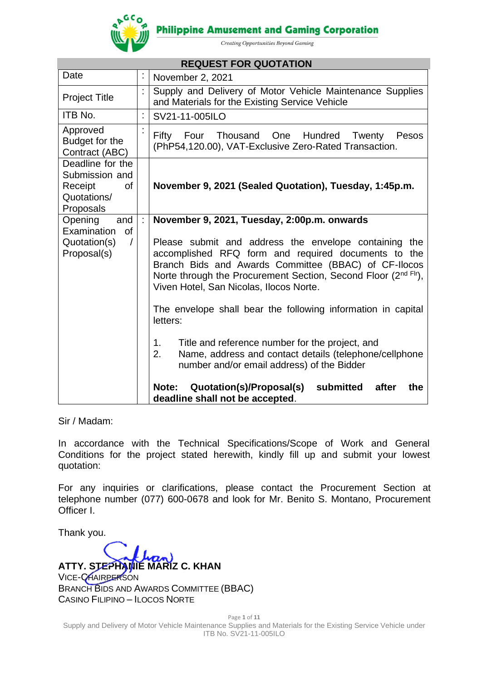

**Philippine Amusement and Gaming Corporation** 

Creating Opportunities Beyond Gaming

| <b>REQUEST FOR QUOTATION</b>                                                           |    |                                                                                                                                                                                                                                                                                   |  |  |  |  |  |
|----------------------------------------------------------------------------------------|----|-----------------------------------------------------------------------------------------------------------------------------------------------------------------------------------------------------------------------------------------------------------------------------------|--|--|--|--|--|
| Date                                                                                   | ÷, | November 2, 2021                                                                                                                                                                                                                                                                  |  |  |  |  |  |
| <b>Project Title</b>                                                                   | t  | Supply and Delivery of Motor Vehicle Maintenance Supplies<br>and Materials for the Existing Service Vehicle                                                                                                                                                                       |  |  |  |  |  |
| ITB No.                                                                                | t  | SV21-11-005ILO                                                                                                                                                                                                                                                                    |  |  |  |  |  |
| Approved<br>Budget for the<br>Contract (ABC)                                           |    | Thousand One<br>Hundred<br>Fifty<br>Four<br>Twenty<br>Pesos<br>(PhP54,120.00), VAT-Exclusive Zero-Rated Transaction.                                                                                                                                                              |  |  |  |  |  |
| Deadline for the<br>Submission and<br><b>of</b><br>Receipt<br>Quotations/<br>Proposals |    | November 9, 2021 (Sealed Quotation), Tuesday, 1:45p.m.                                                                                                                                                                                                                            |  |  |  |  |  |
| and<br>Opening<br>Examination<br>of                                                    | ÷  | November 9, 2021, Tuesday, 2:00p.m. onwards                                                                                                                                                                                                                                       |  |  |  |  |  |
| Quotation(s)<br>$\sqrt{2}$<br>Proposal(s)                                              |    | Please submit and address the envelope containing the<br>accomplished RFQ form and required documents to the<br>Branch Bids and Awards Committee (BBAC) of CF-Ilocos<br>Norte through the Procurement Section, Second Floor (2nd Flr),<br>Viven Hotel, San Nicolas, Ilocos Norte. |  |  |  |  |  |
|                                                                                        |    | The envelope shall bear the following information in capital<br>letters:                                                                                                                                                                                                          |  |  |  |  |  |
|                                                                                        |    | Title and reference number for the project, and<br>1.<br>Name, address and contact details (telephone/cellphone<br>2.<br>number and/or email address) of the Bidder                                                                                                               |  |  |  |  |  |
|                                                                                        |    | Quotation(s)/Proposal(s)<br>submitted<br>Note:<br>after<br>the<br>deadline shall not be accepted.                                                                                                                                                                                 |  |  |  |  |  |

Sir / Madam:

In accordance with the Technical Specifications/Scope of Work and General Conditions for the project stated herewith, kindly fill up and submit your lowest quotation:

For any inquiries or clarifications, please contact the Procurement Section at telephone number (077) 600-0678 and look for Mr. Benito S. Montano, Procurement Officer I.

Thank you.

**ATTY. STEPHANIE MARIZ C. KHAN** VICE-CHAIRPERSON BRANCH BIDS AND AWARDS COMMITTEE (BBAC) CASINO FILIPINO – ILOCOS NORTE

Page **1** of **11** Supply and Delivery of Motor Vehicle Maintenance Supplies and Materials for the Existing Service Vehicle under ITB No. SV21-11-005ILO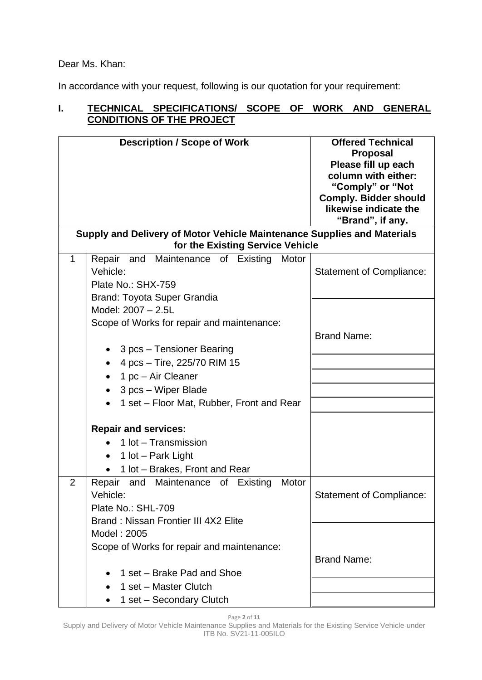Dear Ms. Khan:

In accordance with your request, following is our quotation for your requirement:

## **I. TECHNICAL SPECIFICATIONS/ SCOPE OF WORK AND GENERAL CONDITIONS OF THE PROJECT**

|              | <b>Description / Scope of Work</b>                                                                                                                                                                                                                                                                       | <b>Offered Technical</b><br><b>Proposal</b><br>Please fill up each<br>column with either:<br>"Comply" or "Not<br><b>Comply. Bidder should</b><br>likewise indicate the<br>"Brand", if any. |
|--------------|----------------------------------------------------------------------------------------------------------------------------------------------------------------------------------------------------------------------------------------------------------------------------------------------------------|--------------------------------------------------------------------------------------------------------------------------------------------------------------------------------------------|
|              | Supply and Delivery of Motor Vehicle Maintenance Supplies and Materials<br>for the Existing Service Vehicle                                                                                                                                                                                              |                                                                                                                                                                                            |
| $\mathbf{1}$ | Repair and Maintenance of Existing<br>Motor<br>Vehicle:<br>Plate No.: SHX-759<br>Brand: Toyota Super Grandia<br>Model: 2007 - 2.5L<br>Scope of Works for repair and maintenance:<br>3 pcs - Tensioner Bearing<br>4 pcs - Tire, 225/70 RIM 15<br>1 $pc - Air Cleaner$<br>3 pcs - Wiper Blade<br>$\bullet$ | <b>Statement of Compliance:</b><br><b>Brand Name:</b>                                                                                                                                      |
|              | 1 set – Floor Mat, Rubber, Front and Rear<br><b>Repair and services:</b><br>1 lot - Transmission<br>1 lot - Park Light<br>$\bullet$<br>1 lot - Brakes, Front and Rear                                                                                                                                    |                                                                                                                                                                                            |
| 2            | Repair and Maintenance of Existing<br>Motor<br>Vehicle:<br>Plate No.: SHL-709                                                                                                                                                                                                                            | <b>Statement of Compliance:</b>                                                                                                                                                            |
|              | Brand: Nissan Frontier III 4X2 Elite<br>Model: 2005<br>Scope of Works for repair and maintenance:<br>1 set – Brake Pad and Shoe                                                                                                                                                                          | <b>Brand Name:</b>                                                                                                                                                                         |
|              | 1 set - Master Clutch<br>$\bullet$<br>1 set - Secondary Clutch                                                                                                                                                                                                                                           |                                                                                                                                                                                            |

Page **2** of **11**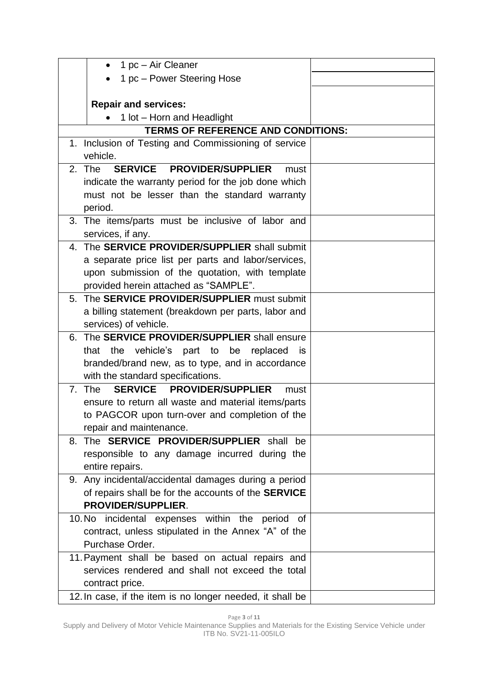| 1 pc - Air Cleaner<br>$\bullet$                              |  |
|--------------------------------------------------------------|--|
| 1 pc - Power Steering Hose                                   |  |
|                                                              |  |
| <b>Repair and services:</b>                                  |  |
| 1 lot - Horn and Headlight                                   |  |
| <b>TERMS OF REFERENCE AND CONDITIONS:</b>                    |  |
| 1. Inclusion of Testing and Commissioning of service         |  |
| vehicle.                                                     |  |
| SERVICE PROVIDER/SUPPLIER<br>2. The<br>must                  |  |
| indicate the warranty period for the job done which          |  |
| must not be lesser than the standard warranty                |  |
| period.                                                      |  |
| 3. The items/parts must be inclusive of labor and            |  |
| services, if any.                                            |  |
| 4. The SERVICE PROVIDER/SUPPLIER shall submit                |  |
| a separate price list per parts and labor/services,          |  |
| upon submission of the quotation, with template              |  |
| provided herein attached as "SAMPLE".                        |  |
| 5. The <b>SERVICE PROVIDER/SUPPLIER</b> must submit          |  |
| a billing statement (breakdown per parts, labor and          |  |
| services) of vehicle.                                        |  |
| 6. The <b>SERVICE PROVIDER/SUPPLIER</b> shall ensure         |  |
| the<br>vehicle's part to be replaced<br>that<br><b>is</b>    |  |
| branded/brand new, as to type, and in accordance             |  |
| with the standard specifications.                            |  |
| <b>SERVICE</b><br>7. The<br><b>PROVIDER/SUPPLIER</b><br>must |  |
| ensure to return all waste and material items/parts          |  |
| to PAGCOR upon turn-over and completion of the               |  |
| repair and maintenance.                                      |  |
| 8. The <b>SERVICE PROVIDER/SUPPLIER</b> shall be             |  |
| responsible to any damage incurred during the                |  |
| entire repairs.                                              |  |
| 9. Any incidental/accidental damages during a period         |  |
| of repairs shall be for the accounts of the <b>SERVICE</b>   |  |
| PROVIDER/SUPPLIER.                                           |  |
| 10. No incidental expenses within the period of              |  |
| contract, unless stipulated in the Annex "A" of the          |  |
| Purchase Order.                                              |  |
| 11. Payment shall be based on actual repairs and             |  |
| services rendered and shall not exceed the total             |  |
| contract price.                                              |  |
| 12. In case, if the item is no longer needed, it shall be    |  |

Page **3** of **11**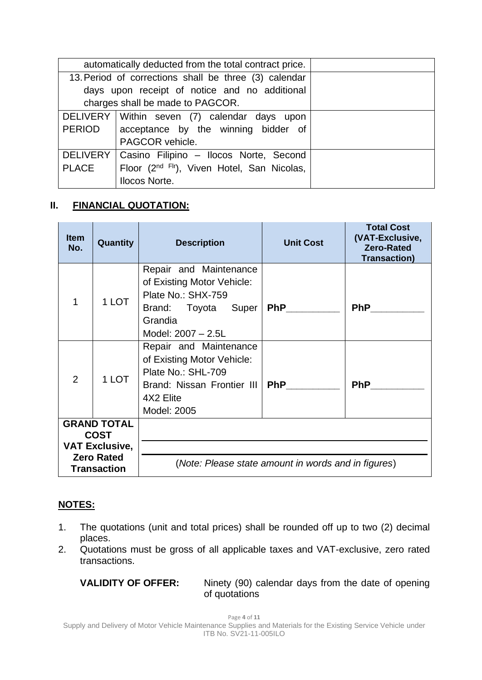|                                                       | automatically deducted from the total contract price.   |  |  |  |
|-------------------------------------------------------|---------------------------------------------------------|--|--|--|
| 13. Period of corrections shall be three (3) calendar |                                                         |  |  |  |
| days upon receipt of notice and no additional         |                                                         |  |  |  |
|                                                       | charges shall be made to PAGCOR.                        |  |  |  |
|                                                       | DELIVERY Within seven (7) calendar days upon            |  |  |  |
| <b>PERIOD</b>                                         | acceptance by the winning bidder of                     |  |  |  |
|                                                       | PAGCOR vehicle.                                         |  |  |  |
| <b>DELIVERY</b>                                       | Casino Filipino - Ilocos Norte, Second                  |  |  |  |
| <b>PLACE</b>                                          | Floor (2 <sup>nd Flr</sup> ), Viven Hotel, San Nicolas, |  |  |  |
|                                                       | <b>Ilocos Norte.</b>                                    |  |  |  |

## **II. FINANCIAL QUOTATION:**

| <b>Item</b><br>No.                | Quantity                                                         | <b>Description</b>                                                                                                                   | <b>Unit Cost</b> | <b>Total Cost</b><br>(VAT-Exclusive,<br><b>Zero-Rated</b><br><b>Transaction)</b> |  |  |
|-----------------------------------|------------------------------------------------------------------|--------------------------------------------------------------------------------------------------------------------------------------|------------------|----------------------------------------------------------------------------------|--|--|
|                                   | 1 LOT                                                            | Repair and Maintenance<br>of Existing Motor Vehicle:<br>Plate No.: SHX-759<br>Brand: Toyota Super<br>Grandia<br>Model: 2007 - 2.5L   | <b>PhP</b>       | PhP                                                                              |  |  |
| $\overline{2}$                    | 1 LOT                                                            | Repair and Maintenance<br>of Existing Motor Vehicle:<br>Plate No.: SHL-709<br>Brand: Nissan Frontier III<br>4X2 Elite<br>Model: 2005 | <b>PhP</b>       | <b>PhP</b>                                                                       |  |  |
| <b>GRAND TOTAL</b><br><b>COST</b> |                                                                  |                                                                                                                                      |                  |                                                                                  |  |  |
|                                   | <b>VAT Exclusive,</b><br><b>Zero Rated</b><br><b>Transaction</b> | (Note: Please state amount in words and in figures)                                                                                  |                  |                                                                                  |  |  |

## **NOTES:**

- 1. The quotations (unit and total prices) shall be rounded off up to two (2) decimal places.
- 2. Quotations must be gross of all applicable taxes and VAT-exclusive, zero rated transactions.

**VALIDITY OF OFFER:** Ninety (90) calendar days from the date of opening of quotations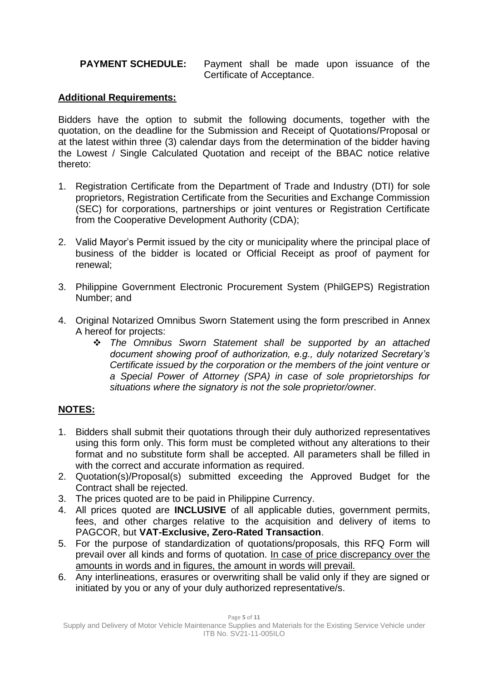#### **PAYMENT SCHEDULE:** Payment shall be made upon issuance of the Certificate of Acceptance.

## **Additional Requirements:**

Bidders have the option to submit the following documents, together with the quotation, on the deadline for the Submission and Receipt of Quotations/Proposal or at the latest within three (3) calendar days from the determination of the bidder having the Lowest / Single Calculated Quotation and receipt of the BBAC notice relative thereto:

- 1. Registration Certificate from the Department of Trade and Industry (DTI) for sole proprietors, Registration Certificate from the Securities and Exchange Commission (SEC) for corporations, partnerships or joint ventures or Registration Certificate from the Cooperative Development Authority (CDA);
- 2. Valid Mayor's Permit issued by the city or municipality where the principal place of business of the bidder is located or Official Receipt as proof of payment for renewal;
- 3. Philippine Government Electronic Procurement System (PhilGEPS) Registration Number; and
- 4. Original Notarized Omnibus Sworn Statement using the form prescribed in Annex A hereof for projects:
	- ❖ *The Omnibus Sworn Statement shall be supported by an attached document showing proof of authorization, e.g., duly notarized Secretary's Certificate issued by the corporation or the members of the joint venture or a Special Power of Attorney (SPA) in case of sole proprietorships for situations where the signatory is not the sole proprietor/owner.*

## **NOTES:**

- 1. Bidders shall submit their quotations through their duly authorized representatives using this form only. This form must be completed without any alterations to their format and no substitute form shall be accepted. All parameters shall be filled in with the correct and accurate information as required.
- 2. Quotation(s)/Proposal(s) submitted exceeding the Approved Budget for the Contract shall be rejected.
- 3. The prices quoted are to be paid in Philippine Currency.
- 4. All prices quoted are **INCLUSIVE** of all applicable duties, government permits, fees, and other charges relative to the acquisition and delivery of items to PAGCOR, but **VAT-Exclusive, Zero-Rated Transaction**.
- 5. For the purpose of standardization of quotations/proposals, this RFQ Form will prevail over all kinds and forms of quotation. In case of price discrepancy over the amounts in words and in figures, the amount in words will prevail.
- 6. Any interlineations, erasures or overwriting shall be valid only if they are signed or initiated by you or any of your duly authorized representative/s.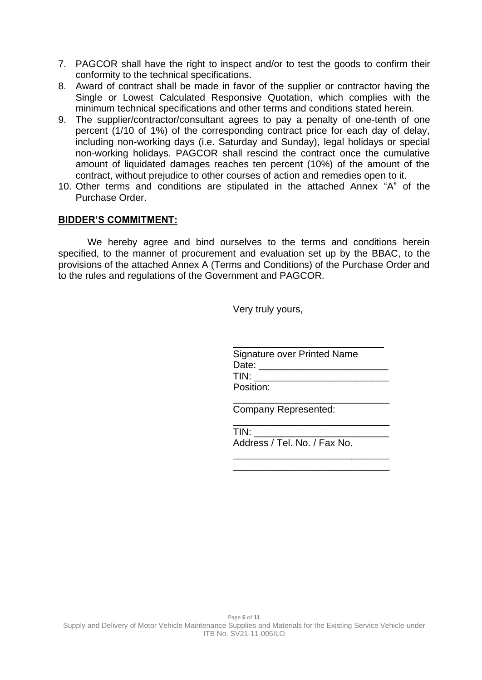- 7. PAGCOR shall have the right to inspect and/or to test the goods to confirm their conformity to the technical specifications.
- 8. Award of contract shall be made in favor of the supplier or contractor having the Single or Lowest Calculated Responsive Quotation, which complies with the minimum technical specifications and other terms and conditions stated herein.
- 9. The supplier/contractor/consultant agrees to pay a penalty of one-tenth of one percent (1/10 of 1%) of the corresponding contract price for each day of delay, including non-working days (i.e. Saturday and Sunday), legal holidays or special non-working holidays. PAGCOR shall rescind the contract once the cumulative amount of liquidated damages reaches ten percent (10%) of the amount of the contract, without prejudice to other courses of action and remedies open to it.
- 10. Other terms and conditions are stipulated in the attached Annex "A" of the Purchase Order.

#### **BIDDER'S COMMITMENT:**

We hereby agree and bind ourselves to the terms and conditions herein specified, to the manner of procurement and evaluation set up by the BBAC, to the provisions of the attached Annex A (Terms and Conditions) of the Purchase Order and to the rules and regulations of the Government and PAGCOR.

Very truly yours,

| <b>Signature over Printed Name</b> |
|------------------------------------|
| Date:                              |
| TIN:                               |
| Position:                          |

\_\_\_\_\_\_\_\_\_\_\_\_\_\_\_\_\_\_\_\_\_\_\_\_\_\_\_\_\_

Company Represented:

| TIN:                         |  |
|------------------------------|--|
| Address / Tel. No. / Fax No. |  |
|                              |  |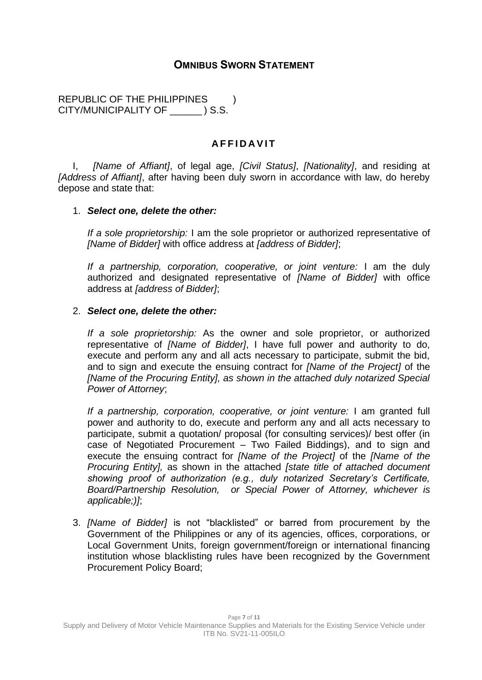## **OMNIBUS SWORN STATEMENT**

REPUBLIC OF THE PHILIPPINES ) CITY/MUNICIPALITY OF \_\_\_\_\_\_ ) S.S.

### **A F F I D A V I T**

I, *[Name of Affiant]*, of legal age, *[Civil Status]*, *[Nationality]*, and residing at *[Address of Affiant]*, after having been duly sworn in accordance with law, do hereby depose and state that:

#### 1. *Select one, delete the other:*

*If a sole proprietorship:* I am the sole proprietor or authorized representative of *[Name of Bidder]* with office address at *[address of Bidder]*;

*If a partnership, corporation, cooperative, or joint venture:* I am the duly authorized and designated representative of *[Name of Bidder]* with office address at *[address of Bidder]*;

#### 2. *Select one, delete the other:*

*If a sole proprietorship:* As the owner and sole proprietor, or authorized representative of *[Name of Bidder]*, I have full power and authority to do, execute and perform any and all acts necessary to participate, submit the bid, and to sign and execute the ensuing contract for *[Name of the Project]* of the *[Name of the Procuring Entity], as shown in the attached duly notarized Special Power of Attorney*;

*If a partnership, corporation, cooperative, or joint venture:* I am granted full power and authority to do, execute and perform any and all acts necessary to participate, submit a quotation/ proposal (for consulting services)/ best offer (in case of Negotiated Procurement – Two Failed Biddings), and to sign and execute the ensuing contract for *[Name of the Project]* of the *[Name of the Procuring Entity],* as shown in the attached *[state title of attached document showing proof of authorization (e.g., duly notarized Secretary's Certificate, Board/Partnership Resolution, or Special Power of Attorney, whichever is applicable;)]*;

3. *[Name of Bidder]* is not "blacklisted" or barred from procurement by the Government of the Philippines or any of its agencies, offices, corporations, or Local Government Units, foreign government/foreign or international financing institution whose blacklisting rules have been recognized by the Government Procurement Policy Board;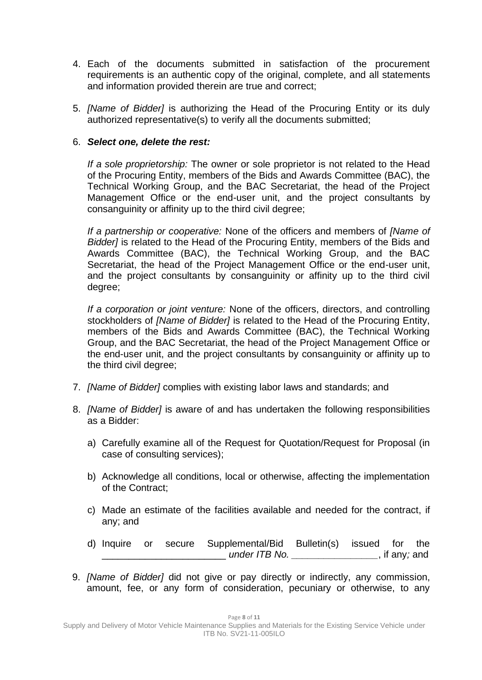- 4. Each of the documents submitted in satisfaction of the procurement requirements is an authentic copy of the original, complete, and all statements and information provided therein are true and correct;
- 5. *[Name of Bidder]* is authorizing the Head of the Procuring Entity or its duly authorized representative(s) to verify all the documents submitted;

### 6. *Select one, delete the rest:*

*If a sole proprietorship:* The owner or sole proprietor is not related to the Head of the Procuring Entity, members of the Bids and Awards Committee (BAC), the Technical Working Group, and the BAC Secretariat, the head of the Project Management Office or the end-user unit, and the project consultants by consanguinity or affinity up to the third civil degree;

*If a partnership or cooperative:* None of the officers and members of *[Name of Bidder]* is related to the Head of the Procuring Entity, members of the Bids and Awards Committee (BAC), the Technical Working Group, and the BAC Secretariat, the head of the Project Management Office or the end-user unit, and the project consultants by consanguinity or affinity up to the third civil degree;

*If a corporation or joint venture:* None of the officers, directors, and controlling stockholders of *[Name of Bidder]* is related to the Head of the Procuring Entity, members of the Bids and Awards Committee (BAC), the Technical Working Group, and the BAC Secretariat, the head of the Project Management Office or the end-user unit, and the project consultants by consanguinity or affinity up to the third civil degree;

- 7. *[Name of Bidder]* complies with existing labor laws and standards; and
- 8. *[Name of Bidder]* is aware of and has undertaken the following responsibilities as a Bidder:
	- a) Carefully examine all of the Request for Quotation/Request for Proposal (in case of consulting services);
	- b) Acknowledge all conditions, local or otherwise, affecting the implementation of the Contract;
	- c) Made an estimate of the facilities available and needed for the contract, if any; and
	- d) Inquire or secure Supplemental/Bid Bulletin(s) issued for the \_\_\_\_\_\_\_\_\_\_\_\_\_\_\_\_\_\_\_\_\_\_\_ *under ITB No. \_\_\_\_\_\_\_\_\_\_\_\_\_\_\_\_*, if any*;* and
- 9. *[Name of Bidder]* did not give or pay directly or indirectly, any commission, amount, fee, or any form of consideration, pecuniary or otherwise, to any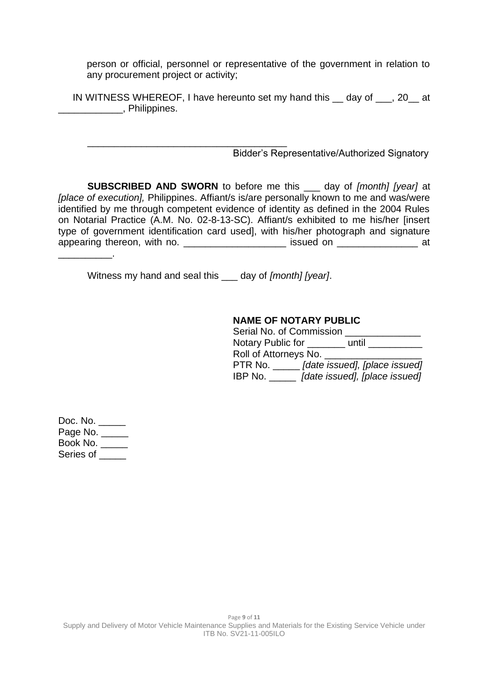person or official, personnel or representative of the government in relation to any procurement project or activity;

IN WITNESS WHEREOF, I have hereunto set my hand this \_\_ day of \_\_\_, 20\_\_ at \_\_\_\_\_\_\_\_\_\_\_\_, Philippines.

\_\_\_\_\_\_\_\_\_\_\_\_\_\_\_\_\_\_\_\_\_\_\_\_\_\_\_\_\_\_\_\_\_\_\_\_\_ Bidder's Representative/Authorized Signatory

**SUBSCRIBED AND SWORN** to before me this \_\_\_ day of *[month] [year]* at *[place of execution],* Philippines. Affiant/s is/are personally known to me and was/were identified by me through competent evidence of identity as defined in the 2004 Rules on Notarial Practice (A.M. No. 02-8-13-SC). Affiant/s exhibited to me his/her [insert type of government identification card used], with his/her photograph and signature appearing thereon, with no. \_\_\_\_\_\_\_\_\_\_\_\_\_\_\_\_\_\_\_\_\_\_ issued on \_\_\_\_\_\_\_\_\_\_\_\_\_\_\_\_\_\_\_ at \_\_\_\_\_\_\_\_\_\_.

Witness my hand and seal this \_\_\_ day of *[month] [year]*.

#### **NAME OF NOTARY PUBLIC**

| Serial No. of Commission |                               |
|--------------------------|-------------------------------|
| Notary Public for        | until                         |
| Roll of Attorneys No.    |                               |
| PTR No.                  | [date issued], [place issued] |
| IBP No.                  | [date issued], [place issued] |

Doc. No. \_\_\_\_\_ Page No. Book No. \_\_\_\_\_ Series of \_\_\_\_\_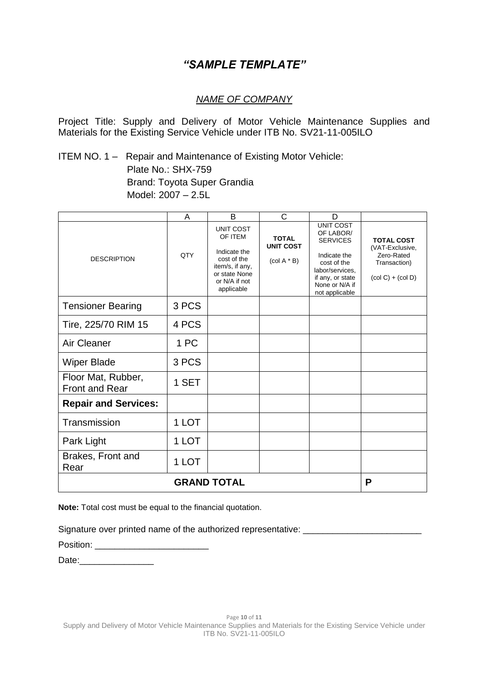# *"SAMPLE TEMPLATE"*

### *NAME OF COMPANY*

Project Title: Supply and Delivery of Motor Vehicle Maintenance Supplies and Materials for the Existing Service Vehicle under ITB No. SV21-11-005ILO

ITEM NO. 1 – Repair and Maintenance of Existing Motor Vehicle: Plate No.: SHX-759 Brand: Toyota Super Grandia Model: 2007 – 2.5L

|                                             | A     | B                                                                                                                             | C                                                                          | D                                                                                                                                                          |                                                                                           |
|---------------------------------------------|-------|-------------------------------------------------------------------------------------------------------------------------------|----------------------------------------------------------------------------|------------------------------------------------------------------------------------------------------------------------------------------------------------|-------------------------------------------------------------------------------------------|
| <b>DESCRIPTION</b>                          | QTY   | <b>UNIT COST</b><br>OF ITEM<br>Indicate the<br>cost of the<br>item/s, if any,<br>or state None<br>or N/A if not<br>applicable | <b>TOTAL</b><br><b>UNIT COST</b><br>$\left(\text{col A} * \text{B}\right)$ | <b>UNIT COST</b><br>OF LABOR/<br><b>SERVICES</b><br>Indicate the<br>cost of the<br>labor/services,<br>if any, or state<br>None or N/A if<br>not applicable | <b>TOTAL COST</b><br>(VAT-Exclusive,<br>Zero-Rated<br>Transaction)<br>$(col C) + (col D)$ |
| <b>Tensioner Bearing</b>                    | 3 PCS |                                                                                                                               |                                                                            |                                                                                                                                                            |                                                                                           |
| Tire, 225/70 RIM 15                         | 4 PCS |                                                                                                                               |                                                                            |                                                                                                                                                            |                                                                                           |
| Air Cleaner                                 | 1 PC  |                                                                                                                               |                                                                            |                                                                                                                                                            |                                                                                           |
| <b>Wiper Blade</b>                          | 3 PCS |                                                                                                                               |                                                                            |                                                                                                                                                            |                                                                                           |
| Floor Mat, Rubber,<br><b>Front and Rear</b> | 1 SET |                                                                                                                               |                                                                            |                                                                                                                                                            |                                                                                           |
| <b>Repair and Services:</b>                 |       |                                                                                                                               |                                                                            |                                                                                                                                                            |                                                                                           |
| Transmission                                | 1 LOT |                                                                                                                               |                                                                            |                                                                                                                                                            |                                                                                           |
| Park Light                                  | 1 LOT |                                                                                                                               |                                                                            |                                                                                                                                                            |                                                                                           |
| Brakes, Front and<br>Rear                   | 1 LOT |                                                                                                                               |                                                                            |                                                                                                                                                            |                                                                                           |
|                                             |       | <b>GRAND TOTAL</b>                                                                                                            |                                                                            |                                                                                                                                                            | P                                                                                         |

**Note:** Total cost must be equal to the financial quotation.

Signature over printed name of the authorized representative: \_\_\_\_\_\_\_\_\_\_\_\_\_\_\_\_\_\_

| Position: |  |  |  |  |  |  |
|-----------|--|--|--|--|--|--|
|           |  |  |  |  |  |  |

Date:\_\_\_\_\_\_\_\_\_\_\_\_\_\_\_